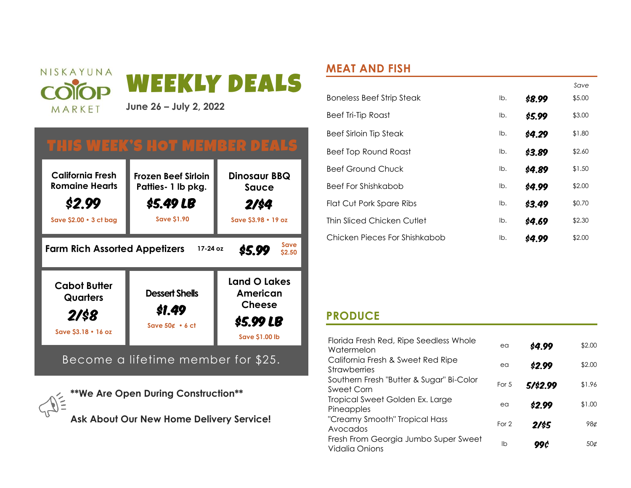

# THIS WEEK'S HOT MEMBER DEALS



Become a lifetime member for \$25.

**\*\*We Are Open During Construction\*\* Ask About Our New Home Delivery Service!**

# **MEAT AND FISH**

|                                  |     |        | Save   |
|----------------------------------|-----|--------|--------|
| <b>Boneless Beef Strip Steak</b> | lb. | \$8.99 | \$5.00 |
| Beef Tri-Tip Roast               | lb. | \$5.99 | \$3.00 |
| <b>Beef Sirloin Tip Steak</b>    | lb. | \$4.29 | \$1.80 |
| Beef Top Round Roast             | lb. | \$3.89 | \$2.60 |
| <b>Beef Ground Chuck</b>         | lb. | \$4.89 | \$1.50 |
| <b>Beef For Shishkabob</b>       | lb. | \$4.99 | \$2.00 |
| Flat Cut Pork Spare Ribs         | lb. | \$3.49 | \$0.70 |
| Thin Sliced Chicken Cutlet       | lb. | \$4.69 | \$2.30 |
| Chicken Pieces For Shishkabob    | lb. | s4.99  | \$2.00 |

# **PRODUCE**

| Florida Fresh Red, Ripe Seedless Whole<br>Watermelon          | ea    | \$4.99   | \$2.00     |
|---------------------------------------------------------------|-------|----------|------------|
| California Fresh & Sweet Red Ripe<br><b>Strawberries</b>      | ea    | \$2.99   | \$2.00     |
| Southern Fresh "Butter & Sugar" Bi-Color<br>Sweet Corn        | For 5 | 5/\$2.99 | \$1.96     |
| Tropical Sweet Golden Ex. Large<br>Pineapples                 | ea    | \$2.99   | \$1.00     |
| "Creamy Smooth" Tropical Hass<br>Avocados                     | For 2 | 2/\$5    | 98¢        |
| Fresh From Georgia Jumbo Super Sweet<br><b>Vidalia Onions</b> | lb    | 99 C     | $50\sigma$ |